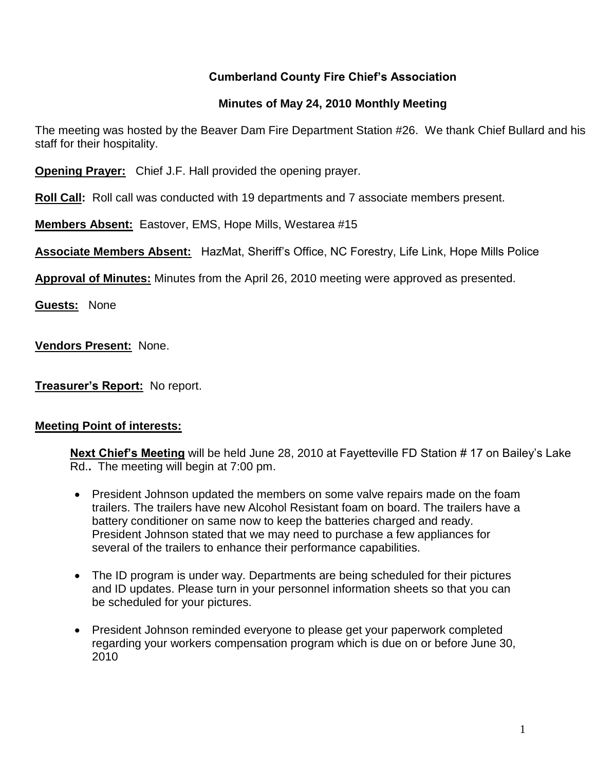## **Cumberland County Fire Chief's Association**

## **Minutes of May 24, 2010 Monthly Meeting**

The meeting was hosted by the Beaver Dam Fire Department Station #26. We thank Chief Bullard and his staff for their hospitality.

**Opening Prayer:** Chief J.F. Hall provided the opening prayer.

**Roll Call:** Roll call was conducted with 19 departments and 7 associate members present.

**Members Absent:** Eastover, EMS, Hope Mills, Westarea #15

**Associate Members Absent:** HazMat, Sheriff's Office, NC Forestry, Life Link, Hope Mills Police

**Approval of Minutes:** Minutes from the April 26, 2010 meeting were approved as presented.

**Guests:** None

**Vendors Present:** None.

**Treasurer's Report:** No report.

### **Meeting Point of interests:**

**Next Chief's Meeting** will be held June 28, 2010 at Fayetteville FD Station # 17 on Bailey's Lake Rd.**.** The meeting will begin at 7:00 pm.

- President Johnson updated the members on some valve repairs made on the foam trailers. The trailers have new Alcohol Resistant foam on board. The trailers have a battery conditioner on same now to keep the batteries charged and ready. President Johnson stated that we may need to purchase a few appliances for several of the trailers to enhance their performance capabilities.
- The ID program is under way. Departments are being scheduled for their pictures and ID updates. Please turn in your personnel information sheets so that you can be scheduled for your pictures.
- President Johnson reminded everyone to please get your paperwork completed regarding your workers compensation program which is due on or before June 30, 2010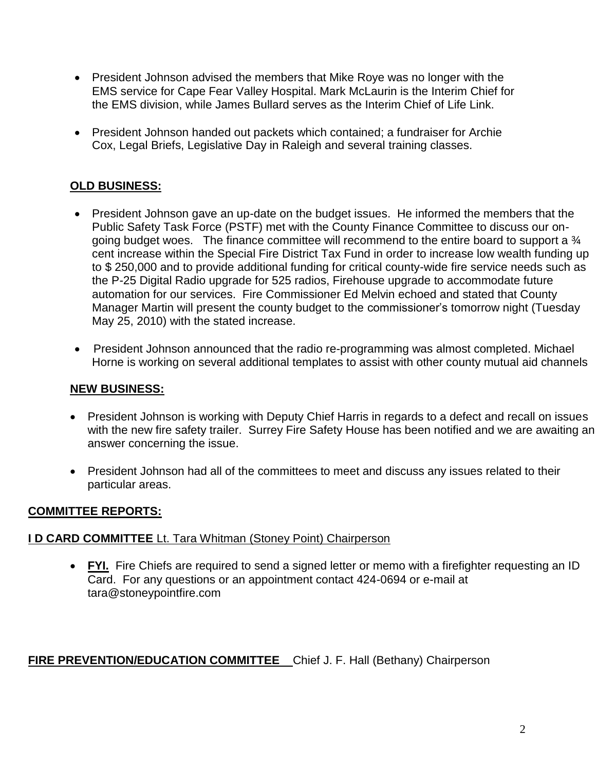- President Johnson advised the members that Mike Roye was no longer with the EMS service for Cape Fear Valley Hospital. Mark McLaurin is the Interim Chief for the EMS division, while James Bullard serves as the Interim Chief of Life Link.
- President Johnson handed out packets which contained; a fundraiser for Archie Cox, Legal Briefs, Legislative Day in Raleigh and several training classes.

## **OLD BUSINESS:**

- President Johnson gave an up-date on the budget issues. He informed the members that the Public Safety Task Force (PSTF) met with the County Finance Committee to discuss our ongoing budget woes. The finance committee will recommend to the entire board to support a  $\frac{3}{4}$ cent increase within the Special Fire District Tax Fund in order to increase low wealth funding up to \$ 250,000 and to provide additional funding for critical county-wide fire service needs such as the P-25 Digital Radio upgrade for 525 radios, Firehouse upgrade to accommodate future automation for our services. Fire Commissioner Ed Melvin echoed and stated that County Manager Martin will present the county budget to the commissioner's tomorrow night (Tuesday May 25, 2010) with the stated increase.
- President Johnson announced that the radio re-programming was almost completed. Michael Horne is working on several additional templates to assist with other county mutual aid channels

### **NEW BUSINESS:**

- President Johnson is working with Deputy Chief Harris in regards to a defect and recall on issues with the new fire safety trailer. Surrey Fire Safety House has been notified and we are awaiting an answer concerning the issue.
- President Johnson had all of the committees to meet and discuss any issues related to their particular areas.

## **COMMITTEE REPORTS:**

## **I D CARD COMMITTEE** Lt. Tara Whitman (Stoney Point) Chairperson

• FYI. Fire Chiefs are required to send a signed letter or memo with a firefighter requesting an ID Card. For any questions or an appointment contact 424-0694 or e-mail at [tara@stoneypointfire.com](mailto:tara@stoneypointfire.com)

## **FIRE PREVENTION/EDUCATION COMMITTEE** Chief J. F. Hall (Bethany) Chairperson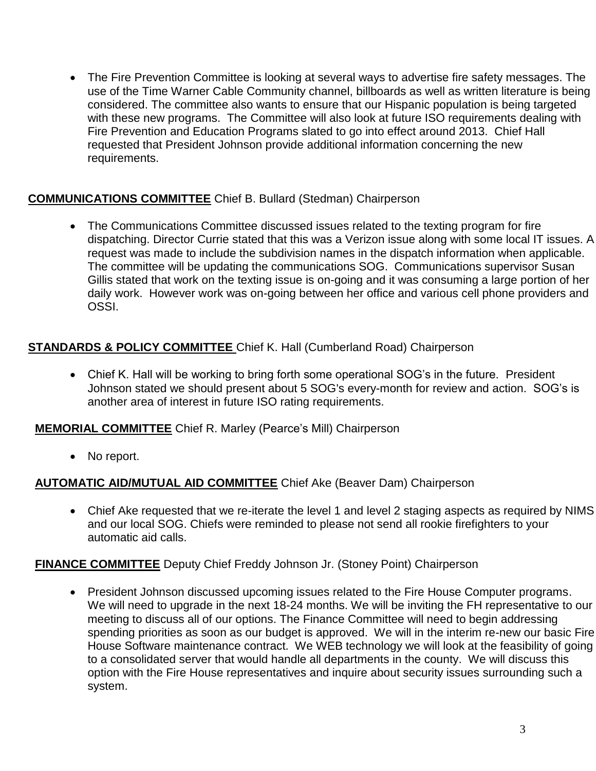The Fire Prevention Committee is looking at several ways to advertise fire safety messages. The use of the Time Warner Cable Community channel, billboards as well as written literature is being considered. The committee also wants to ensure that our Hispanic population is being targeted with these new programs. The Committee will also look at future ISO requirements dealing with Fire Prevention and Education Programs slated to go into effect around 2013. Chief Hall requested that President Johnson provide additional information concerning the new requirements.

## **COMMUNICATIONS COMMITTEE** Chief B. Bullard (Stedman) Chairperson

• The Communications Committee discussed issues related to the texting program for fire dispatching. Director Currie stated that this was a Verizon issue along with some local IT issues. A request was made to include the subdivision names in the dispatch information when applicable. The committee will be updating the communications SOG. Communications supervisor Susan Gillis stated that work on the texting issue is on-going and it was consuming a large portion of her daily work. However work was on-going between her office and various cell phone providers and OSSI.

## **STANDARDS & POLICY COMMITTEE** Chief K. Hall (Cumberland Road) Chairperson

 Chief K. Hall will be working to bring forth some operational SOG's in the future. President Johnson stated we should present about 5 SOG's every-month for review and action. SOG's is another area of interest in future ISO rating requirements.

**MEMORIAL COMMITTEE** Chief R. Marley (Pearce's Mill) Chairperson

• No report.

## **AUTOMATIC AID/MUTUAL AID COMMITTEE** Chief Ake (Beaver Dam) Chairperson

• Chief Ake requested that we re-iterate the level 1 and level 2 staging aspects as required by NIMS and our local SOG. Chiefs were reminded to please not send all rookie firefighters to your automatic aid calls.

## **FINANCE COMMITTEE** Deputy Chief Freddy Johnson Jr. (Stoney Point) Chairperson

• President Johnson discussed upcoming issues related to the Fire House Computer programs. We will need to upgrade in the next 18-24 months. We will be inviting the FH representative to our meeting to discuss all of our options. The Finance Committee will need to begin addressing spending priorities as soon as our budget is approved. We will in the interim re-new our basic Fire House Software maintenance contract. We WEB technology we will look at the feasibility of going to a consolidated server that would handle all departments in the county. We will discuss this option with the Fire House representatives and inquire about security issues surrounding such a system.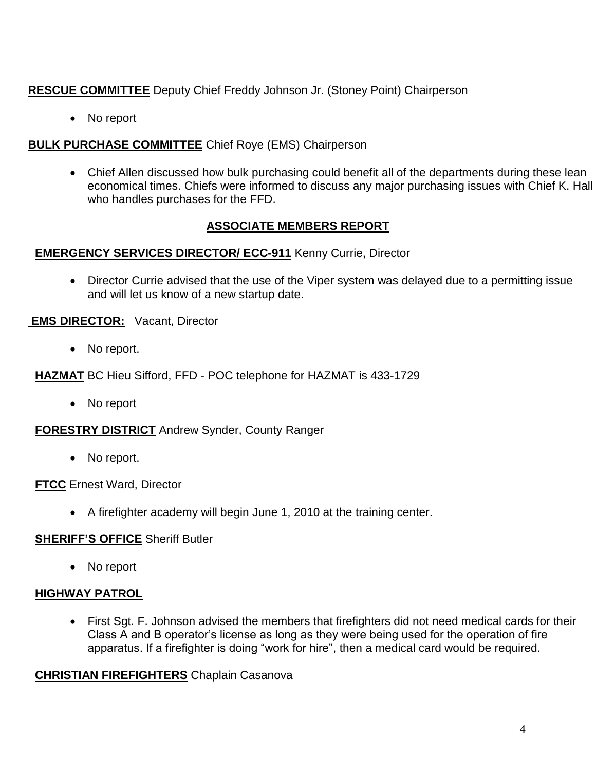## **RESCUE COMMITTEE** Deputy Chief Freddy Johnson Jr. (Stoney Point) Chairperson

• No report

### **BULK PURCHASE COMMITTEE** Chief Roye (EMS) Chairperson

• Chief Allen discussed how bulk purchasing could benefit all of the departments during these lean economical times. Chiefs were informed to discuss any major purchasing issues with Chief K. Hall who handles purchases for the FFD.

### **ASSOCIATE MEMBERS REPORT**

### **EMERGENCY SERVICES DIRECTOR/ ECC-911** Kenny Currie, Director

• Director Currie advised that the use of the Viper system was delayed due to a permitting issue and will let us know of a new startup date.

### **EMS DIRECTOR:** Vacant, Director

• No report.

**HAZMAT** BC Hieu Sifford, FFD - POC telephone for HAZMAT is 433-1729

• No report

**FORESTRY DISTRICT** Andrew Synder, County Ranger

• No report.

**FTCC** Ernest Ward, Director

A firefighter academy will begin June 1, 2010 at the training center.

### **SHERIFF'S OFFICE** Sheriff Butler

• No report

### **HIGHWAY PATROL**

 First Sgt. F. Johnson advised the members that firefighters did not need medical cards for their Class A and B operator's license as long as they were being used for the operation of fire apparatus. If a firefighter is doing "work for hire", then a medical card would be required.

### **CHRISTIAN FIREFIGHTERS** Chaplain Casanova